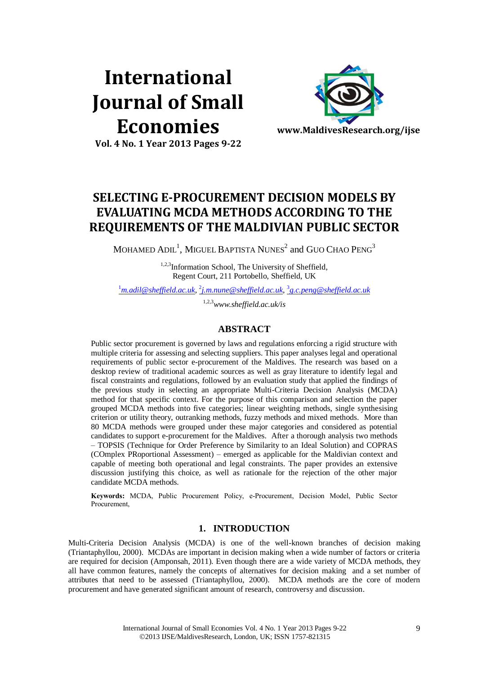# **International Journal of Small Economies**



**Vol. 4 No. 1 Year 2013 Pages 9-22**

# **SELECTING E-PROCUREMENT DECISION MODELS BY EVALUATING MCDA METHODS ACCORDING TO THE REQUIREMENTS OF THE MALDIVIAN PUBLIC SECTOR**

MOHAMED  $\mathrm{ADIL}^1$ , MIGUEL BAPTISTA  $\mathrm{NUNES}^2$  and  $\mathrm{GUO}$   $\mathrm{CHAO}$   $\mathrm{PENG}^3$ 

1,2,3Information School, The University of Sheffield, Regent Court, 211 Portobello, Sheffield, UK

<sup>1</sup>*[m.adil@sheffield.ac.uk](mailto:1m.adil@sheffield.ac.uk)*, 2 *[j.m.nune@sheffield.ac.uk](mailto:2j.m.nune@sheffield.ac.uk)*, 3 *[g.c.peng@sheffield.ac.uk](mailto:3g.c.peng@sheffield.ac.uk)* 

1,2,3*www.sheffield.ac.uk/is*

# **ABSTRACT**

Public sector procurement is governed by laws and regulations enforcing a rigid structure with multiple criteria for assessing and selecting suppliers. This paper analyses legal and operational requirements of public sector e-procurement of the Maldives. The research was based on a desktop review of traditional academic sources as well as gray literature to identify legal and fiscal constraints and regulations, followed by an evaluation study that applied the findings of the previous study in selecting an appropriate Multi-Criteria Decision Analysis (MCDA) method for that specific context. For the purpose of this comparison and selection the paper grouped MCDA methods into five categories; linear weighting methods, single synthesising criterion or utility theory, outranking methods, fuzzy methods and mixed methods. More than 80 MCDA methods were grouped under these major categories and considered as potential candidates to support e-procurement for the Maldives. After a thorough analysis two methods – TOPSIS (Technique for Order Preference by Similarity to an Ideal Solution) and COPRAS (COmplex PRoportional Assessment) – emerged as applicable for the Maldivian context and capable of meeting both operational and legal constraints. The paper provides an extensive discussion justifying this choice, as well as rationale for the rejection of the other major candidate MCDA methods.

**Keywords:** MCDA, Public Procurement Policy, e-Procurement, Decision Model, Public Sector Procurement,

# **1. INTRODUCTION**

Multi-Criteria Decision Analysis (MCDA) is one of the well-known branches of decision making (Triantaphyllou, 2000). MCDAs are important in decision making when a wide number of factors or criteria are required for decision (Amponsah, 2011). Even though there are a wide variety of MCDA methods, they all have common features, namely the concepts of alternatives for decision making and a set number of attributes that need to be assessed (Triantaphyllou, 2000). MCDA methods are the core of modern procurement and have generated significant amount of research, controversy and discussion.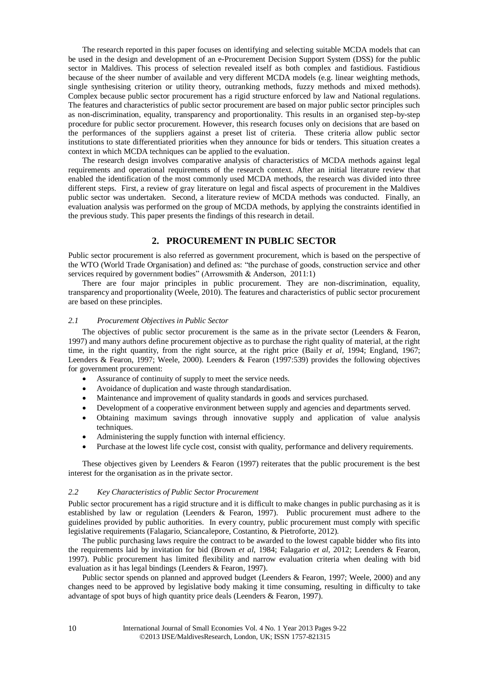The research reported in this paper focuses on identifying and selecting suitable MCDA models that can be used in the design and development of an e-Procurement Decision Support System (DSS) for the public sector in Maldives. This process of selection revealed itself as both complex and fastidious. Fastidious because of the sheer number of available and very different MCDA models (e.g. linear weighting methods, single synthesising criterion or utility theory, outranking methods, fuzzy methods and mixed methods). Complex because public sector procurement has a rigid structure enforced by law and National regulations. The features and characteristics of public sector procurement are based on major public sector principles such as non-discrimination, equality, transparency and proportionality. This results in an organised step-by-step procedure for public sector procurement. However, this research focuses only on decisions that are based on the performances of the suppliers against a preset list of criteria. These criteria allow public sector institutions to state differentiated priorities when they announce for bids or tenders. This situation creates a context in which MCDA techniques can be applied to the evaluation.

The research design involves comparative analysis of characteristics of MCDA methods against legal requirements and operational requirements of the research context. After an initial literature review that enabled the identification of the most commonly used MCDA methods, the research was divided into three different steps. First, a review of gray literature on legal and fiscal aspects of procurement in the Maldives public sector was undertaken. Second, a literature review of MCDA methods was conducted. Finally, an evaluation analysis was performed on the group of MCDA methods, by applying the constraints identified in the previous study. This paper presents the findings of this research in detail.

# **2. PROCUREMENT IN PUBLIC SECTOR**

Public sector procurement is also referred as government procurement, which is based on the perspective of the WTO (World Trade Organisation) and defined as: "the purchase of goods, construction service and other services required by government bodies" (Arrowsmith & Anderson, 2011:1)

There are four major principles in public procurement. They are non-discrimination, equality, transparency and proportionality (Weele, 2010). The features and characteristics of public sector procurement are based on these principles.

#### *2.1 Procurement Objectives in Public Sector*

The objectives of public sector procurement is the same as in the private sector (Leenders & Fearon, 1997) and many authors define procurement objective as to purchase the right quality of material, at the right time, in the right quantity, from the right source, at the right price (Baily *et al*, 1994; England, 1967; Leenders & Fearon, 1997; Weele, 2000). Leenders & Fearon (1997:539) provides the following objectives for government procurement:

- Assurance of continuity of supply to meet the service needs.
- Avoidance of duplication and waste through standardisation.
- Maintenance and improvement of quality standards in goods and services purchased.
- Development of a cooperative environment between supply and agencies and departments served.
- Obtaining maximum savings through innovative supply and application of value analysis techniques.
- Administering the supply function with internal efficiency.
- Purchase at the lowest life cycle cost, consist with quality, performance and delivery requirements.

These objectives given by Leenders & Fearon (1997) reiterates that the public procurement is the best interest for the organisation as in the private sector.

#### *2.2 Key Characteristics of Public Sector Procurement*

Public sector procurement has a rigid structure and it is difficult to make changes in public purchasing as it is established by law or regulation (Leenders & Fearon, 1997). Public procurement must adhere to the guidelines provided by public authorities. In every country, public procurement must comply with specific legislative requirements (Falagario, Sciancalepore, Costantino, & Pietroforte, 2012).

The public purchasing laws require the contract to be awarded to the lowest capable bidder who fits into the requirements laid by invitation for bid (Brown *et al*, 1984; Falagario *et al*, 2012; Leenders & Fearon, 1997). Public procurement has limited flexibility and narrow evaluation criteria when dealing with bid evaluation as it has legal bindings (Leenders & Fearon, 1997).

Public sector spends on planned and approved budget (Leenders & Fearon, 1997; Weele, 2000) and any changes need to be approved by legislative body making it time consuming, resulting in difficulty to take advantage of spot buys of high quantity price deals (Leenders & Fearon, 1997).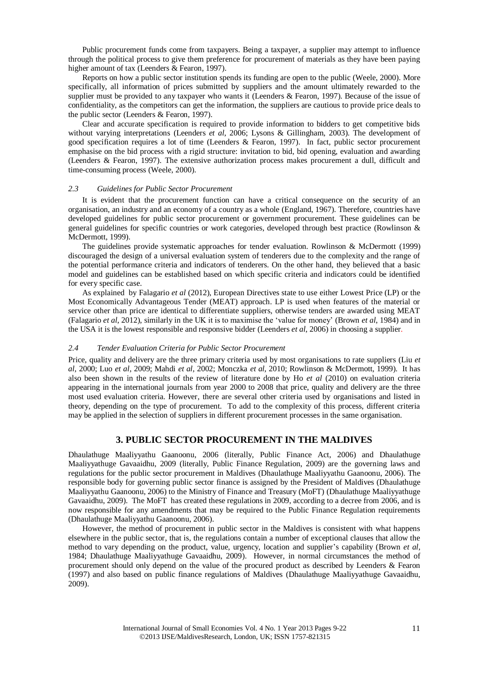Public procurement funds come from taxpayers. Being a taxpayer, a supplier may attempt to influence through the political process to give them preference for procurement of materials as they have been paying higher amount of tax (Leenders & Fearon, 1997).

Reports on how a public sector institution spends its funding are open to the public (Weele, 2000). More specifically, all information of prices submitted by suppliers and the amount ultimately rewarded to the supplier must be provided to any taxpayer who wants it (Leenders & Fearon, 1997). Because of the issue of confidentiality, as the competitors can get the information, the suppliers are cautious to provide price deals to the public sector (Leenders & Fearon, 1997).

Clear and accurate specification is required to provide information to bidders to get competitive bids without varying interpretations (Leenders *et al*, 2006; Lysons & Gillingham, 2003). The development of good specification requires a lot of time (Leenders & Fearon, 1997). In fact, public sector procurement emphasise on the bid process with a rigid structure: invitation to bid, bid opening, evaluation and awarding (Leenders & Fearon, 1997). The extensive authorization process makes procurement a dull, difficult and time-consuming process (Weele, 2000).

#### *2.3 Guidelines for Public Sector Procurement*

It is evident that the procurement function can have a critical consequence on the security of an organisation, an industry and an economy of a country as a whole (England, 1967). Therefore, countries have developed guidelines for public sector procurement or government procurement. These guidelines can be general guidelines for specific countries or work categories, developed through best practice (Rowlinson & McDermott, 1999).

The guidelines provide systematic approaches for tender evaluation. Rowlinson & McDermott (1999) discouraged the design of a universal evaluation system of tenderers due to the complexity and the range of the potential performance criteria and indicators of tenderers. On the other hand, they believed that a basic model and guidelines can be established based on which specific criteria and indicators could be identified for every specific case.

As explained by Falagario *et al* (2012), European Directives state to use either Lowest Price (LP) or the Most Economically Advantageous Tender (MEAT) approach. LP is used when features of the material or service other than price are identical to differentiate suppliers, otherwise tenders are awarded using MEAT (Falagario *et al*, 2012), similarly in the UK it is to maximise the 'value for money' (Brown *et al*, 1984) and in the USA it is the lowest responsible and responsive bidder (Leenders *et al*, 2006) in choosing a supplier.

#### *2.4 Tender Evaluation Criteria for Public Sector Procurement*

Price, quality and delivery are the three primary criteria used by most organisations to rate suppliers (Liu *et al*, 2000; Luo *et al*, 2009; Mahdi *et al*, 2002; Monczka *et al*, 2010; Rowlinson & McDermott, 1999). It has also been shown in the results of the review of literature done by Ho *et al* (2010) on evaluation criteria appearing in the international journals from year 2000 to 2008 that price, quality and delivery are the three most used evaluation criteria. However, there are several other criteria used by organisations and listed in theory, depending on the type of procurement. To add to the complexity of this process, different criteria may be applied in the selection of suppliers in different procurement processes in the same organisation.

#### **3. PUBLIC SECTOR PROCUREMENT IN THE MALDIVES**

Dhaulathuge Maaliyyathu Gaanoonu, 2006 (literally, Public Finance Act, 2006) and Dhaulathuge Maaliyyathuge Gavaaidhu, 2009 (literally, Public Finance Regulation, 2009) are the governing laws and regulations for the public sector procurement in Maldives (Dhaulathuge Maaliyyathu Gaanoonu, 2006). The responsible body for governing public sector finance is assigned by the President of Maldives (Dhaulathuge Maaliyyathu Gaanoonu, 2006) to the Ministry of Finance and Treasury (MoFT) (Dhaulathuge Maaliyyathuge Gavaaidhu, 2009). The MoFT has created these regulations in 2009, according to a decree from 2006, and is now responsible for any amendments that may be required to the Public Finance Regulation requirements (Dhaulathuge Maaliyyathu Gaanoonu, 2006).

However, the method of procurement in public sector in the Maldives is consistent with what happens elsewhere in the public sector, that is, the regulations contain a number of exceptional clauses that allow the method to vary depending on the product, value, urgency, location and supplier's capability (Brown *et al*, 1984; Dhaulathuge Maaliyyathuge Gavaaidhu, 2009). However, in normal circumstances the method of procurement should only depend on the value of the procured product as described by Leenders & Fearon (1997) and also based on public finance regulations of Maldives (Dhaulathuge Maaliyyathuge Gavaaidhu, 2009).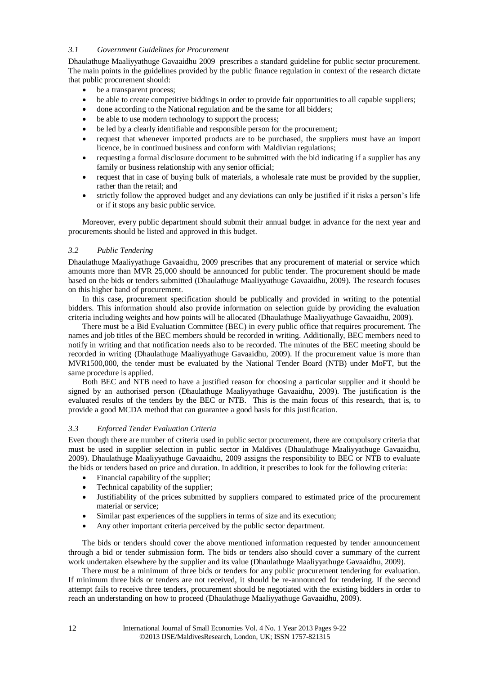# *3.1 Government Guidelines for Procurement*

Dhaulathuge Maaliyyathuge Gavaaidhu 2009 prescribes a standard guideline for public sector procurement. The main points in the guidelines provided by the public finance regulation in context of the research dictate that public procurement should:

- be a transparent process;
- be able to create competitive biddings in order to provide fair opportunities to all capable suppliers;
- done according to the National regulation and be the same for all bidders;
- be able to use modern technology to support the process;
- be led by a clearly identifiable and responsible person for the procurement;
- request that whenever imported products are to be purchased, the suppliers must have an import licence, be in continued business and conform with Maldivian regulations;
- requesting a formal disclosure document to be submitted with the bid indicating if a supplier has any family or business relationship with any senior official;
- request that in case of buying bulk of materials, a wholesale rate must be provided by the supplier, rather than the retail; and
- strictly follow the approved budget and any deviations can only be justified if it risks a person's life or if it stops any basic public service.

Moreover, every public department should submit their annual budget in advance for the next year and procurements should be listed and approved in this budget.

# *3.2 Public Tendering*

Dhaulathuge Maaliyyathuge Gavaaidhu, 2009 prescribes that any procurement of material or service which amounts more than MVR 25,000 should be announced for public tender. The procurement should be made based on the bids or tenders submitted (Dhaulathuge Maaliyyathuge Gavaaidhu, 2009). The research focuses on this higher band of procurement.

In this case, procurement specification should be publically and provided in writing to the potential bidders. This information should also provide information on selection guide by providing the evaluation criteria including weights and how points will be allocated (Dhaulathuge Maaliyyathuge Gavaaidhu, 2009).

There must be a Bid Evaluation Committee (BEC) in every public office that requires procurement. The names and job titles of the BEC members should be recorded in writing. Additionally, BEC members need to notify in writing and that notification needs also to be recorded. The minutes of the BEC meeting should be recorded in writing (Dhaulathuge Maaliyyathuge Gavaaidhu, 2009). If the procurement value is more than MVR1500,000, the tender must be evaluated by the National Tender Board (NTB) under MoFT, but the same procedure is applied.

Both BEC and NTB need to have a justified reason for choosing a particular supplier and it should be signed by an authorised person (Dhaulathuge Maaliyyathuge Gavaaidhu, 2009). The justification is the evaluated results of the tenders by the BEC or NTB. This is the main focus of this research, that is, to provide a good MCDA method that can guarantee a good basis for this justification.

## *3.3 Enforced Tender Evaluation Criteria*

Even though there are number of criteria used in public sector procurement, there are compulsory criteria that must be used in supplier selection in public sector in Maldives (Dhaulathuge Maaliyyathuge Gavaaidhu, 2009). Dhaulathuge Maaliyyathuge Gavaaidhu, 2009 assigns the responsibility to BEC or NTB to evaluate the bids or tenders based on price and duration. In addition, it prescribes to look for the following criteria:

- Financial capability of the supplier;
- Technical capability of the supplier:
- Justifiability of the prices submitted by suppliers compared to estimated price of the procurement material or service;
- Similar past experiences of the suppliers in terms of size and its execution;
- Any other important criteria perceived by the public sector department.

The bids or tenders should cover the above mentioned information requested by tender announcement through a bid or tender submission form. The bids or tenders also should cover a summary of the current work undertaken elsewhere by the supplier and its value (Dhaulathuge Maaliyyathuge Gavaaidhu, 2009).

There must be a minimum of three bids or tenders for any public procurement tendering for evaluation. If minimum three bids or tenders are not received, it should be re-announced for tendering. If the second attempt fails to receive three tenders, procurement should be negotiated with the existing bidders in order to reach an understanding on how to proceed (Dhaulathuge Maaliyyathuge Gavaaidhu, 2009).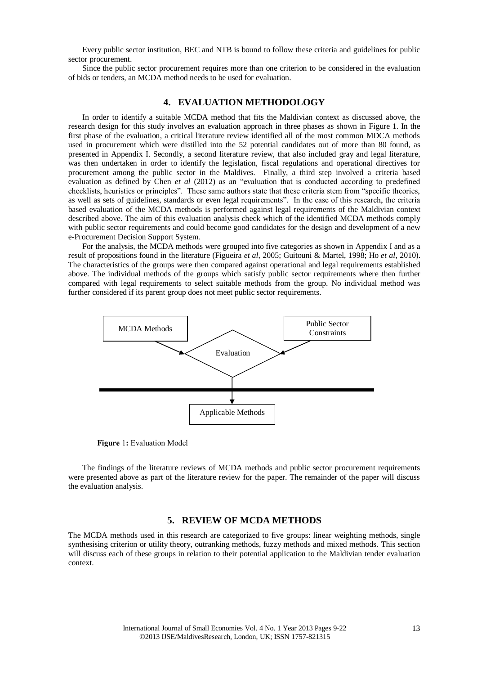Every public sector institution, BEC and NTB is bound to follow these criteria and guidelines for public sector procurement.

Since the public sector procurement requires more than one criterion to be considered in the evaluation of bids or tenders, an MCDA method needs to be used for evaluation.

# **4. EVALUATION METHODOLOGY**

In order to identify a suitable MCDA method that fits the Maldivian context as discussed above, the research design for this study involves an evaluation approach in three phases as shown in Figure 1. In the first phase of the evaluation, a critical literature review identified all of the most common MDCA methods used in procurement which were distilled into the 52 potential candidates out of more than 80 found, as presented in Appendix I. Secondly, a second literature review, that also included gray and legal literature, was then undertaken in order to identify the legislation, fiscal regulations and operational directives for procurement among the public sector in the Maldives. Finally, a third step involved a criteria based evaluation as defined by Chen *et al* (2012) as an "evaluation that is conducted according to predefined checklists, heuristics or principles". These same authors state that these criteria stem from "specific theories, as well as sets of guidelines, standards or even legal requirements". In the case of this research, the criteria based evaluation of the MCDA methods is performed against legal requirements of the Maldivian context described above. The aim of this evaluation analysis check which of the identified MCDA methods comply with public sector requirements and could become good candidates for the design and development of a new e-Procurement Decision Support System.

For the analysis, the MCDA methods were grouped into five categories as shown in Appendix I and as a result of propositions found in the literature (Figueira *et al*, 2005; Guitouni & Martel, 1998; Ho *et al*, 2010). The characteristics of the groups were then compared against operational and legal requirements established above. The individual methods of the groups which satisfy public sector requirements where then further compared with legal requirements to select suitable methods from the group. No individual method was further considered if its parent group does not meet public sector requirements.



**Figure** 1**:** Evaluation Model

The findings of the literature reviews of MCDA methods and public sector procurement requirements were presented above as part of the literature review for the paper. The remainder of the paper will discuss the evaluation analysis.

# **5. REVIEW OF MCDA METHODS**

The MCDA methods used in this research are categorized to five groups: linear weighting methods, single synthesising criterion or utility theory, outranking methods, fuzzy methods and mixed methods. This section will discuss each of these groups in relation to their potential application to the Maldivian tender evaluation context.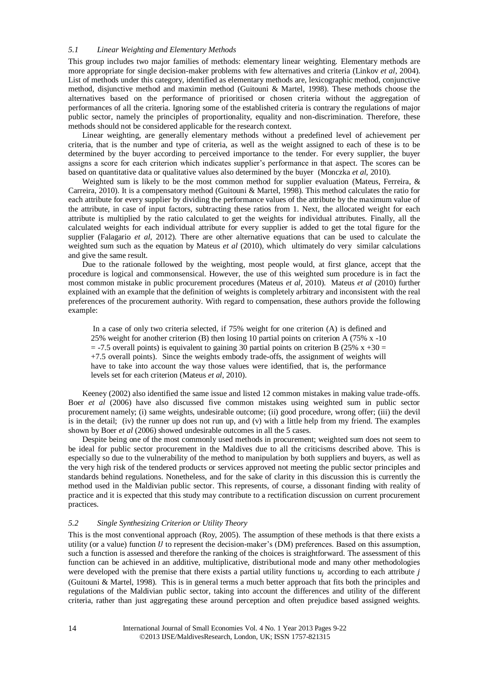# *5.1 Linear Weighting and Elementary Methods*

This group includes two major families of methods: elementary linear weighting. Elementary methods are more appropriate for single decision-maker problems with few alternatives and criteria (Linkov *et al*, 2004). List of methods under this category, identified as elementary methods are, lexicographic method, conjunctive method, disjunctive method and maximin method (Guitouni & Martel, 1998). These methods choose the alternatives based on the performance of prioritised or chosen criteria without the aggregation of performances of all the criteria. Ignoring some of the established criteria is contrary the regulations of major public sector, namely the principles of proportionality, equality and non-discrimination. Therefore, these methods should not be considered applicable for the research context.

Linear weighting, are generally elementary methods without a predefined level of achievement per criteria, that is the number and type of criteria, as well as the weight assigned to each of these is to be determined by the buyer according to perceived importance to the tender. For every supplier, the buyer assigns a score for each criterion which indicates supplier's performance in that aspect. The scores can be based on quantitative data or qualitative values also determined by the buyer (Monczka *et al*, 2010).

Weighted sum is likely to be the most common method for supplier evaluation (Mateus, Ferreira, & Carreira, 2010). It is a compensatory method (Guitouni & Martel, 1998). This method calculates the ratio for each attribute for every supplier by dividing the performance values of the attribute by the maximum value of the attribute, in case of input factors, subtracting these ratios from 1. Next, the allocated weight for each attribute is multiplied by the ratio calculated to get the weights for individual attributes. Finally, all the calculated weights for each individual attribute for every supplier is added to get the total figure for the supplier (Falagario *et al*, 2012). There are other alternative equations that can be used to calculate the weighted sum such as the equation by Mateus *et al* (2010), which ultimately do very similar calculations and give the same result.

Due to the rationale followed by the weighting, most people would, at first glance, accept that the procedure is logical and commonsensical. However, the use of this weighted sum procedure is in fact the most common mistake in public procurement procedures (Mateus *et al*, 2010). Mateus *et al* (2010) further explained with an example that the definition of weights is completely arbitrary and inconsistent with the real preferences of the procurement authority. With regard to compensation, these authors provide the following example:

In a case of only two criteria selected, if 75% weight for one criterion (A) is defined and 25% weight for another criterion (B) then losing 10 partial points on criterion A (75% x -10  $=$  -7.5 overall points) is equivalent to gaining 30 partial points on criterion B (25% x +30 = +7.5 overall points). Since the weights embody trade-offs, the assignment of weights will have to take into account the way those values were identified, that is, the performance levels set for each criterion (Mateus *et al*, 2010).

Keeney (2002) also identified the same issue and listed 12 common mistakes in making value trade-offs. Boer *et al* (2006) have also discussed five common mistakes using weighted sum in public sector procurement namely; (i) same weights, undesirable outcome; (ii) good procedure, wrong offer; (iii) the devil is in the detail; (iv) the runner up does not run up, and (v) with a little help from my friend. The examples shown by Boer *et al* (2006) showed undesirable outcomes in all the 5 cases.

Despite being one of the most commonly used methods in procurement; weighted sum does not seem to be ideal for public sector procurement in the Maldives due to all the criticisms described above. This is especially so due to the vulnerability of the method to manipulation by both suppliers and buyers, as well as the very high risk of the tendered products or services approved not meeting the public sector principles and standards behind regulations. Nonetheless, and for the sake of clarity in this discussion this is currently the method used in the Maldivian public sector. This represents, of course, a dissonant finding with reality of practice and it is expected that this study may contribute to a rectification discussion on current procurement practices.

# *5.2 Single Synthesizing Criterion or Utility Theory*

This is the most conventional approach (Roy, 2005). The assumption of these methods is that there exists a utility (or a value) function  $U$  to represent the decision-maker's (DM) preferences. Based on this assumption, such a function is assessed and therefore the ranking of the choices is straightforward. The assessment of this function can be achieved in an additive, multiplicative, distributional mode and many other methodologies were developed with the premise that there exists a partial utility functions  $u_i$  according to each attribute  $i$ (Guitouni & Martel, 1998). This is in general terms a much better approach that fits both the principles and regulations of the Maldivian public sector, taking into account the differences and utility of the different criteria, rather than just aggregating these around perception and often prejudice based assigned weights.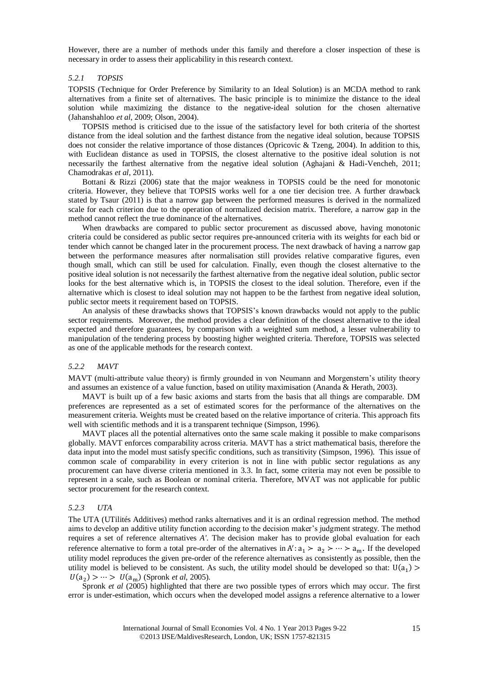However, there are a number of methods under this family and therefore a closer inspection of these is necessary in order to assess their applicability in this research context.

#### *5.2.1 TOPSIS*

TOPSIS (Technique for Order Preference by Similarity to an Ideal Solution) is an MCDA method to rank alternatives from a finite set of alternatives. The basic principle is to minimize the distance to the ideal solution while maximizing the distance to the negative-ideal solution for the chosen alternative (Jahanshahloo *et al*, 2009; Olson, 2004).

TOPSIS method is criticised due to the issue of the satisfactory level for both criteria of the shortest distance from the ideal solution and the farthest distance from the negative ideal solution, because TOPSIS does not consider the relative importance of those distances (Opricovic & Tzeng, 2004). In addition to this, with Euclidean distance as used in TOPSIS, the closest alternative to the positive ideal solution is not necessarily the farthest alternative from the negative ideal solution (Aghajani & Hadi-Vencheh, 2011; Chamodrakas *et al*, 2011).

Bottani & Rizzi (2006) state that the major weakness in TOPSIS could be the need for monotonic criteria. However, they believe that TOPSIS works well for a one tier decision tree. A further drawback stated by Tsaur (2011) is that a narrow gap between the performed measures is derived in the normalized scale for each criterion due to the operation of normalized decision matrix. Therefore, a narrow gap in the method cannot reflect the true dominance of the alternatives.

When drawbacks are compared to public sector procurement as discussed above, having monotonic criteria could be considered as public sector requires pre-announced criteria with its weights for each bid or tender which cannot be changed later in the procurement process. The next drawback of having a narrow gap between the performance measures after normalisation still provides relative comparative figures, even though small, which can still be used for calculation. Finally, even though the closest alternative to the positive ideal solution is not necessarily the farthest alternative from the negative ideal solution, public sector looks for the best alternative which is, in TOPSIS the closest to the ideal solution. Therefore, even if the alternative which is closest to ideal solution may not happen to be the farthest from negative ideal solution, public sector meets it requirement based on TOPSIS.

An analysis of these drawbacks shows that TOPSIS's known drawbacks would not apply to the public sector requirements. Moreover, the method provides a clear definition of the closest alternative to the ideal expected and therefore guarantees, by comparison with a weighted sum method, a lesser vulnerability to manipulation of the tendering process by boosting higher weighted criteria. Therefore, TOPSIS was selected as one of the applicable methods for the research context.

#### *5.2.2 MAVT*

MAVT (multi-attribute value theory) is firmly grounded in von Neumann and Morgenstern's utility theory and assumes an existence of a value function, based on utility maximisation (Ananda & Herath, 2003).

MAVT is built up of a few basic axioms and starts from the basis that all things are comparable. DM preferences are represented as a set of estimated scores for the performance of the alternatives on the measurement criteria. Weights must be created based on the relative importance of criteria. This approach fits well with scientific methods and it is a transparent technique (Simpson, 1996).

MAVT places all the potential alternatives onto the same scale making it possible to make comparisons globally. MAVT enforces comparability across criteria. MAVT has a strict mathematical basis, therefore the data input into the model must satisfy specific conditions, such as transitivity (Simpson, 1996). This issue of common scale of comparability in every criterion is not in line with public sector regulations as any procurement can have diverse criteria mentioned in 3.3. In fact, some criteria may not even be possible to represent in a scale, such as Boolean or nominal criteria. Therefore, MVAT was not applicable for public sector procurement for the research context.

# *5.2.3 UTA*

The UTA (UTilités Additives) method ranks alternatives and it is an ordinal regression method. The method aims to develop an additive utility function according to the decision maker's judgment strategy. The method requires a set of reference alternatives *A'*. The decision maker has to provide global evaluation for each reference alternative to form a total pre-order of the alternatives in  $A' : a_1 > a_2 > \cdots > a_m$ . If the developed utility model reproduces the given pre-order of the reference alternatives as consistently as possible, then the utility model is believed to be consistent. As such, the utility model should be developed so that:  $U(a_1)$  $U(a_2) > \cdots > U(a_m)$  (Spronk *et al.* 2005).

Spronk *et al* (2005) highlighted that there are two possible types of errors which may occur. The first error is under-estimation, which occurs when the developed model assigns a reference alternative to a lower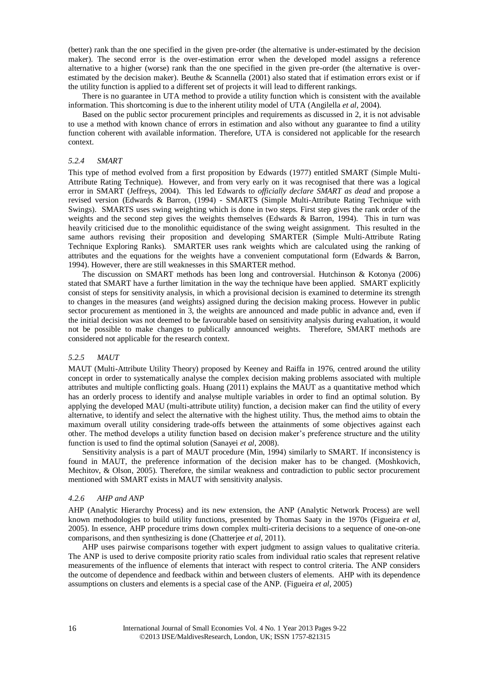(better) rank than the one specified in the given pre-order (the alternative is under-estimated by the decision maker). The second error is the over-estimation error when the developed model assigns a reference alternative to a higher (worse) rank than the one specified in the given pre-order (the alternative is overestimated by the decision maker). Beuthe & Scannella (2001) also stated that if estimation errors exist or if the utility function is applied to a different set of projects it will lead to different rankings.

There is no guarantee in UTA method to provide a utility function which is consistent with the available information. This shortcoming is due to the inherent utility model of UTA (Angilella *et al*, 2004).

Based on the public sector procurement principles and requirements as discussed in 2, it is not advisable to use a method with known chance of errors in estimation and also without any guarantee to find a utility function coherent with available information. Therefore, UTA is considered not applicable for the research context.

#### *5.2.4 SMART*

This type of method evolved from a first proposition by Edwards (1977) entitled SMART (Simple Multi-Attribute Rating Technique). However, and from very early on it was recognised that there was a logical error in SMART (Jeffreys, 2004). This led Edwards to *officially declare SMART as dead* and propose a revised version (Edwards & Barron, (1994) - SMARTS (Simple Multi-Attribute Rating Technique with Swings). SMARTS uses swing weighting which is done in two steps. First step gives the rank order of the weights and the second step gives the weights themselves (Edwards & Barron, 1994). This in turn was heavily criticised due to the monolithic equidistance of the swing weight assignment. This resulted in the same authors revising their proposition and developing SMARTER (Simple Multi-Attribute Rating Technique Exploring Ranks). SMARTER uses rank weights which are calculated using the ranking of attributes and the equations for the weights have a convenient computational form (Edwards & Barron, 1994). However, there are still weaknesses in this SMARTER method.

The discussion on SMART methods has been long and controversial. Hutchinson & Kotonya (2006) stated that SMART have a further limitation in the way the technique have been applied. SMART explicitly consist of steps for sensitivity analysis, in which a provisional decision is examined to determine its strength to changes in the measures (and weights) assigned during the decision making process. However in public sector procurement as mentioned in 3, the weights are announced and made public in advance and, even if the initial decision was not deemed to be favourable based on sensitivity analysis during evaluation, it would not be possible to make changes to publically announced weights. Therefore, SMART methods are considered not applicable for the research context.

#### *5.2.5 MAUT*

MAUT (Multi-Attribute Utility Theory) proposed by Keeney and Raiffa in 1976, centred around the utility concept in order to systematically analyse the complex decision making problems associated with multiple attributes and multiple conflicting goals. Huang (2011) explains the MAUT as a quantitative method which has an orderly process to identify and analyse multiple variables in order to find an optimal solution. By applying the developed MAU (multi-attribute utility) function, a decision maker can find the utility of every alternative, to identify and select the alternative with the highest utility. Thus, the method aims to obtain the maximum overall utility considering trade-offs between the attainments of some objectives against each other. The method develops a utility function based on decision maker's preference structure and the utility function is used to find the optimal solution (Sanayei *et al*, 2008).

Sensitivity analysis is a part of MAUT procedure (Min, 1994) similarly to SMART. If inconsistency is found in MAUT, the preference information of the decision maker has to be changed. (Moshkovich, Mechitov, & Olson, 2005). Therefore, the similar weakness and contradiction to public sector procurement mentioned with SMART exists in MAUT with sensitivity analysis.

#### *4.2.6 AHP and ANP*

AHP (Analytic Hierarchy Process) and its new extension, the ANP (Analytic Network Process) are well known methodologies to build utility functions, presented by Thomas Saaty in the 1970s (Figueira *et al*, 2005). In essence, AHP procedure trims down complex multi-criteria decisions to a sequence of one-on-one comparisons, and then synthesizing is done (Chatterjee *et al*, 2011).

AHP uses pairwise comparisons together with expert judgment to assign values to qualitative criteria. The ANP is used to derive composite priority ratio scales from individual ratio scales that represent relative measurements of the influence of elements that interact with respect to control criteria. The ANP considers the outcome of dependence and feedback within and between clusters of elements. AHP with its dependence assumptions on clusters and elements is a special case of the ANP. (Figueira *et al*, 2005)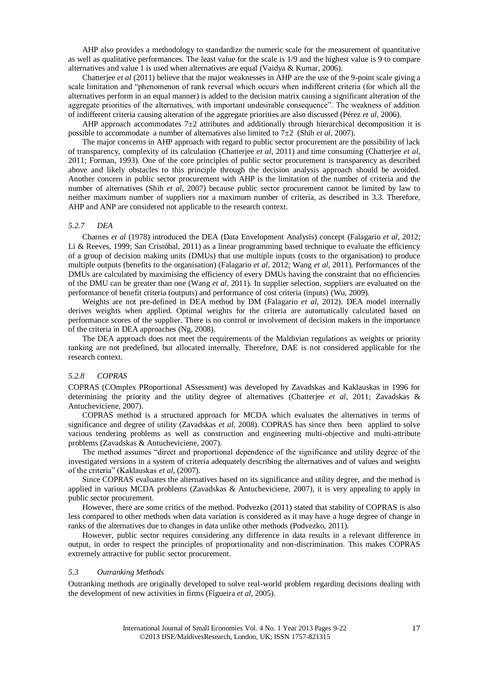AHP also provides a methodology to standardize the numeric scale for the measurement of quantitative as well as qualitative performances. The least value for the scale is 1/9 and the highest value is 9 to compare alternatives and value 1 is used when alternatives are equal (Vaidya & Kumar, 2006).

Chatterjee *et al* (2011) believe that the major weaknesses in AHP are the use of the 9-point scale giving a scale limitation and "phenomenon of rank reversal which occurs when indifferent criteria (for which all the alternatives perform in an equal manner) is added to the decision matrix causing a significant alteration of the aggregate priorities of the alternatives, with important undesirable consequence". The weakness of addition of indifferent criteria causing alteration of the aggregate priorities are also discussed (Pérez *et al*, 2006).

AHP approach accommodates  $7\pm 2$  attributes and additionally through hierarchical decomposition it is possible to accommodate a number of alternatives also limited to  $7\pm2$  (Shih *et al.* 2007).

The major concerns in AHP approach with regard to public sector procurement are the possibility of lack of transparency, complexity of its calculation (Chatterjee *et al*, 2011) and time consuming (Chatterjee *et al*, 2011; Forman, 1993). One of the core principles of public sector procurement is transparency as described above and likely obstacles to this principle through the decision analysis approach should be avoided. Another concern in public sector procurement with AHP is the limitation of the number of criteria and the number of alternatives (Shih *et al*, 2007) because public sector procurement cannot be limited by law to neither maximum number of suppliers nor a maximum number of criteria, as described in 3.3. Therefore, AHP and ANP are considered not applicable to the research context.

#### *5.2.7 DEA*

Charnes *et al* (1978) introduced the DEA (Data Envelopment Analysis) concept (Falagario *et al*, 2012; Li & Reeves, 1999; San Cristóbal, 2011) as a linear programming based technique to evaluate the efficiency of a group of decision making units (DMUs) that use multiple inputs (costs to the organisation) to produce multiple outputs (benefits to the organisation) (Falagario *et al*, 2012; Wang *et al*, 2011). Performances of the DMUs are calculated by maximising the efficiency of every DMUs having the constraint that no efficiencies of the DMU can be greater than one (Wang *et al*, 2011). In supplier selection, suppliers are evaluated on the performance of benefit criteria (outputs) and performance of cost criteria (inputs) (Wu, 2009).

Weights are not pre-defined in DEA method by DM (Falagario *et al*, 2012). DEA model internally derives weights when applied. Optimal weights for the criteria are automatically calculated based on performance scores of the supplier. There is no control or involvement of decision makers in the importance of the criteria in DEA approaches (Ng, 2008).

The DEA approach does not meet the requirements of the Maldivian regulations as weights or priority ranking are not predefined, but allocated internally. Therefore, DAE is not considered applicable for the research context.

#### *5.2.8 COPRAS*

COPRAS (COmplex PRoportional ASsessment) was developed by Zavadskas and Kaklauskas in 1996 for determining the priority and the utility degree of alternatives (Chatterjee *et al*, 2011; Zavadskas & Antucheviciene, 2007).

COPRAS method is a structured approach for MCDA which evaluates the alternatives in terms of significance and degree of utility (Zavadskas *et al*, 2008). COPRAS has since then been applied to solve various tendering problems as well as construction and engineering multi-objective and multi-attribute problems (Zavadskas & Antucheviciene, 2007).

The method assumes "direct and proportional dependence of the significance and utility degree of the investigated versions in a system of criteria adequately describing the alternatives and of values and weights of the criteria" (Kaklauskas *et al*, (2007).

Since COPRAS evaluates the alternatives based on its significance and utility degree, and the method is applied in various MCDA problems (Zavadskas & Antucheviciene, 2007), it is very appealing to apply in public sector procurement.

However, there are some critics of the method. Podvezko (2011) stated that stability of COPRAS is also less compared to other methods when data variation is considered as it may have a huge degree of change in ranks of the alternatives due to changes in data unlike other methods (Podvezko, 2011).

However, public sector requires considering any difference in data results in a relevant difference in output, in order to respect the principles of proportionality and non-discrimination. This makes COPRAS extremely attractive for public sector procurement.

#### *5.3 Outranking Methods*

Outranking methods are originally developed to solve real-world problem regarding decisions dealing with the development of new activities in firms (Figueira *et al*, 2005).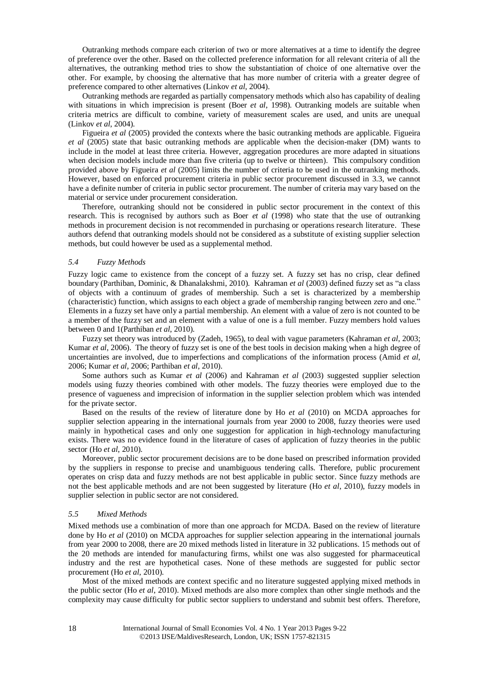Outranking methods compare each criterion of two or more alternatives at a time to identify the degree of preference over the other. Based on the collected preference information for all relevant criteria of all the alternatives, the outranking method tries to show the substantiation of choice of one alternative over the other. For example, by choosing the alternative that has more number of criteria with a greater degree of preference compared to other alternatives (Linkov *et al*, 2004).

Outranking methods are regarded as partially compensatory methods which also has capability of dealing with situations in which imprecision is present (Boer *et al*, 1998). Outranking models are suitable when criteria metrics are difficult to combine, variety of measurement scales are used, and units are unequal (Linkov *et al*, 2004).

Figueira *et al* (2005) provided the contexts where the basic outranking methods are applicable. Figueira *et al* (2005) state that basic outranking methods are applicable when the decision-maker (DM) wants to include in the model at least three criteria. However, aggregation procedures are more adapted in situations when decision models include more than five criteria (up to twelve or thirteen). This compulsory condition provided above by Figueira *et al* (2005) limits the number of criteria to be used in the outranking methods. However, based on enforced procurement criteria in public sector procurement discussed in 3.3, we cannot have a definite number of criteria in public sector procurement. The number of criteria may vary based on the material or service under procurement consideration.

Therefore, outranking should not be considered in public sector procurement in the context of this research. This is recognised by authors such as Boer *et al* (1998) who state that the use of outranking methods in procurement decision is not recommended in purchasing or operations research literature. These authors defend that outranking models should not be considered as a substitute of existing supplier selection methods, but could however be used as a supplemental method.

#### *5.4 Fuzzy Methods*

Fuzzy logic came to existence from the concept of a fuzzy set. A fuzzy set has no crisp, clear defined boundary (Parthiban, Dominic, & Dhanalakshmi, 2010). Kahraman *et al* (2003) defined fuzzy set as "a class of objects with a continuum of grades of membership. Such a set is characterized by a membership (characteristic) function, which assigns to each object a grade of membership ranging between zero and one." Elements in a fuzzy set have only a partial membership. An element with a value of zero is not counted to be a member of the fuzzy set and an element with a value of one is a full member. Fuzzy members hold values between 0 and 1(Parthiban *et al*, 2010).

Fuzzy set theory was introduced by (Zadeh, 1965), to deal with vague parameters (Kahraman *et al*, 2003; Kumar *et al*, 2006). The theory of fuzzy set is one of the best tools in decision making when a high degree of uncertainties are involved, due to imperfections and complications of the information process (Amid *et al*, 2006; Kumar *et al*, 2006; Parthiban *et al*, 2010).

Some authors such as Kumar *et al* (2006) and Kahraman *et al* (2003) suggested supplier selection models using fuzzy theories combined with other models. The fuzzy theories were employed due to the presence of vagueness and imprecision of information in the supplier selection problem which was intended for the private sector.

Based on the results of the review of literature done by Ho *et al* (2010) on MCDA approaches for supplier selection appearing in the international journals from year 2000 to 2008, fuzzy theories were used mainly in hypothetical cases and only one suggestion for application in high-technology manufacturing exists. There was no evidence found in the literature of cases of application of fuzzy theories in the public sector (Ho *et al*, 2010).

Moreover, public sector procurement decisions are to be done based on prescribed information provided by the suppliers in response to precise and unambiguous tendering calls. Therefore, public procurement operates on crisp data and fuzzy methods are not best applicable in public sector. Since fuzzy methods are not the best applicable methods and are not been suggested by literature (Ho *et al*, 2010), fuzzy models in supplier selection in public sector are not considered.

# *5.5 Mixed Methods*

Mixed methods use a combination of more than one approach for MCDA. Based on the review of literature done by Ho *et al* (2010) on MCDA approaches for supplier selection appearing in the international journals from year 2000 to 2008, there are 20 mixed methods listed in literature in 32 publications. 15 methods out of the 20 methods are intended for manufacturing firms, whilst one was also suggested for pharmaceutical industry and the rest are hypothetical cases. None of these methods are suggested for public sector procurement (Ho *et al*, 2010).

Most of the mixed methods are context specific and no literature suggested applying mixed methods in the public sector (Ho *et al*, 2010). Mixed methods are also more complex than other single methods and the complexity may cause difficulty for public sector suppliers to understand and submit best offers. Therefore,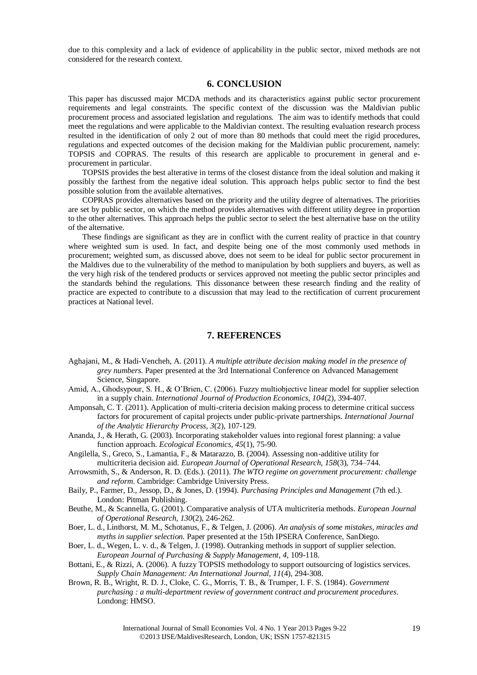due to this complexity and a lack of evidence of applicability in the public sector, mixed methods are not considered for the research context.

# **6. CONCLUSION**

This paper has discussed major MCDA methods and its characteristics against public sector procurement requirements and legal constraints. The specific context of the discussion was the Maldivian public procurement process and associated legislation and regulations. The aim was to identify methods that could meet the regulations and were applicable to the Maldivian context. The resulting evaluation research process resulted in the identification of only 2 out of more than 80 methods that could meet the rigid procedures, regulations and expected outcomes of the decision making for the Maldivian public procurement, namely: TOPSIS and COPRAS. The results of this research are applicable to procurement in general and eprocurement in particular.

TOPSIS provides the best alterative in terms of the closest distance from the ideal solution and making it possibly the farthest from the negative ideal solution. This approach helps public sector to find the best possible solution from the available alternatives.

COPRAS provides alternatives based on the priority and the utility degree of alternatives. The priorities are set by public sector, on which the method provides alternatives with different utility degree in proportion to the other alternatives. This approach helps the public sector to select the best alternative base on the utility of the alternative.

These findings are significant as they are in conflict with the current reality of practice in that country where weighted sum is used. In fact, and despite being one of the most commonly used methods in procurement; weighted sum, as discussed above, does not seem to be ideal for public sector procurement in the Maldives due to the vulnerability of the method to manipulation by both suppliers and buyers, as well as the very high risk of the tendered products or services approved not meeting the public sector principles and the standards behind the regulations. This dissonance between these research finding and the reality of practice are expected to contribute to a discussion that may lead to the rectification of current procurement practices at National level.

# **7. REFERENCES**

- Aghajani, M., & Hadi-Vencheh, A. (2011). *A multiple attribute decision making model in the presence of grey numbers*. Paper presented at the 3rd International Conference on Advanced Management Science, Singapore.
- Amid, A., Ghodsypour, S. H., & O'Brien, C. (2006). Fuzzy multiobjective linear model for supplier selection in a supply chain. *International Journal of Production Economics, 104*(2), 394-407.
- Amponsah, C. T. (2011). Application of multi-criteria decision making process to determine critical success factors for procurement of capital projects under public-private partnerships. *International Journal of the Analytic Hierarchy Process, 3*(2), 107-129.
- Ananda, J., & Herath, G. (2003). Incorporating stakeholder values into regional forest planning: a value function approach. *Ecological Economics, 45*(1), 75-90.

Angilella, S., Greco, S., Lamantia, F., & Matarazzo, B. (2004). Assessing non-additive utility for multicriteria decision aid. *European Journal of Operational Research, 158*(3), 734–744.

Arrowsmith, S., & Anderson, R. D. (Eds.). (2011). *The WTO regime on government procurement: challenge and reform*. Cambridge: Cambridge University Press.

- Baily, P., Farmer, D., Jessop, D., & Jones, D. (1994). *Purchasing Principles and Management* (7th ed.). London: Pitman Publishing.
- Beuthe, M., & Scannella, G. (2001). Comparative analysis of UTA multicriteria methods. *European Journal of Operational Research, 130*(2), 246-262.
- Boer, L. d., Linthorst, M. M., Schotanus, F., & Telgen, J. (2006). *An analysis of some mistakes, miracles and myths in supplier selection.* Paper presented at the 15th IPSERA Conference, SanDiego.
- Boer, L. d., Wegen, L. v. d., & Telgen, J. (1998). Outranking methods in support of supplier selection. *European Journal of Purchasing & Supply Management, 4*, 109-118.
- Bottani, E., & Rizzi, A. (2006). A fuzzy TOPSIS methodology to support outsourcing of logistics services. *Supply Chain Management: An International Journal, 11*(4), 294-308.
- Brown, R. B., Wright, R. D. J., Cloke, C. G., Morris, T. B., & Trumper, I. F. S. (1984). *Government purchasing : a multi-department review of government contract and procurement procedures*. Londong: HMSO.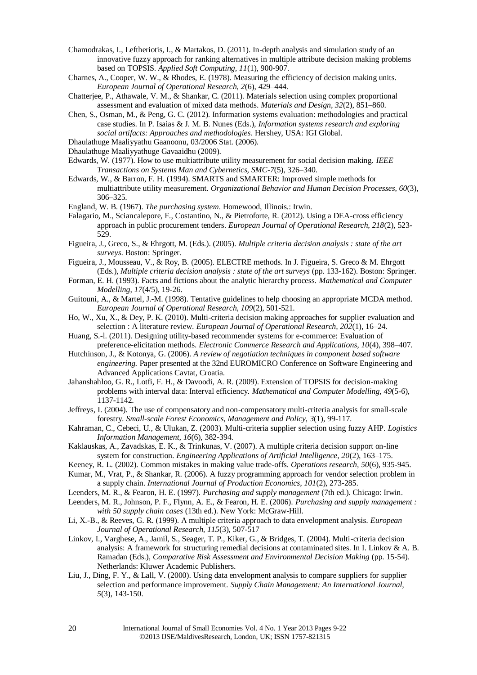Chamodrakas, I., Leftheriotis, I., & Martakos, D. (2011). In-depth analysis and simulation study of an innovative fuzzy approach for ranking alternatives in multiple attribute decision making problems based on TOPSIS. *Applied Soft Computing, 11*(1), 900-907.

Charnes, A., Cooper, W. W.,  $\&$  Rhodes, E. (1978). Measuring the efficiency of decision making units. *European Journal of Operational Research, 2*(6), 429–444.

Chatterjee, P., Athawale, V. M., & Shankar, C. (2011). Materials selection using complex proportional assessment and evaluation of mixed data methods. *Materials and Design, 32*(2), 851–860.

Chen, S., Osman, M., & Peng, G. C. (2012). Information systems evaluation: methodologies and practical case studies. In P. Isaias & J. M. B. Nunes (Eds.), *Information systems research and exploring social artifacts: Approaches and methodologies*. Hershey, USA: IGI Global.

Dhaulathuge Maaliyyathu Gaanoonu, 03/2006 Stat. (2006).

Edwards, W. (1977). How to use multiattribute utility measurement for social decision making. *IEEE Transactions on Systems Man and Cybernetics, SMC-7*(5), 326–340.

Edwards, W., & Barron, F. H. (1994). SMARTS and SMARTER: Improved simple methods for multiattribute utility measurement. *Organizational Behavior and Human Decision Processes, 60*(3), 306–325.

England, W. B. (1967). *The purchasing system*. Homewood, Illinois.: Irwin.

Falagario, M., Sciancalepore, F., Costantino, N., & Pietroforte, R. (2012). Using a DEA-cross efficiency approach in public procurement tenders. *European Journal of Operational Research, 218*(2), 523- 529.

Figueira, J., Greco, S., & Ehrgott, M. (Eds.). (2005). *Multiple criteria decision analysis : state of the art surveys*. Boston: Springer.

Figueira, J., Mousseau, V., & Roy, B. (2005). ELECTRE methods. In J. Figueira, S. Greco & M. Ehrgott (Eds.), *Multiple criteria decision analysis : state of the art surveys* (pp. 133-162). Boston: Springer.

Forman, E. H. (1993). Facts and fictions about the analytic hierarchy process. *Mathematical and Computer Modelling, 17*(4/5), 19-26.

Guitouni, A., & Martel, J.-M. (1998). Tentative guidelines to help choosing an appropriate MCDA method. *European Journal of Operational Research, 109*(2), 501-521.

Ho, W., Xu, X., & Dey, P. K. (2010). Multi-criteria decision making approaches for supplier evaluation and selection : A literature review. *European Journal of Operational Research, 202*(1), 16–24.

Huang, S.-l. (2011). Designing utility-based recommender systems for e-commerce: Evaluation of preference-elicitation methods. *Electronic Commerce Research and Applications, 10*(4), 398–407.

Hutchinson, J., & Kotonya, G. (2006). *A review of negotiation techniques in component based software engineering.* Paper presented at the 32nd EUROMICRO Conference on Software Engineering and Advanced Applications Cavtat, Croatia.

Jahanshahloo, G. R., Lotfi, F. H., & Davoodi, A. R. (2009). Extension of TOPSIS for decision-making problems with interval data: Interval efficiency. *Mathematical and Computer Modelling, 49*(5-6), 1137-1142.

Jeffreys, I. (2004). The use of compensatory and non-compensatory multi-criteria analysis for small-scale forestry. *Small-scale Forest Economics, Management and Policy, 3*(1), 99-117.

Kahraman, C., Cebeci, U., & Ulukan, Z. (2003). Multi-criteria supplier selection using fuzzy AHP. *Logistics Information Management, 16*(6), 382-394.

Kaklauskas, A., Zavadskas, E. K., & Trinkunas, V. (2007). A multiple criteria decision support on-line system for construction. *Engineering Applications of Artificial Intelligence, 20*(2), 163–175.

Keeney, R. L. (2002). Common mistakes in making value trade-offs. *Operations research, 50*(6), 935-945.

Kumar, M., Vrat, P., & Shankar, R. (2006). A fuzzy programming approach for vendor selection problem in a supply chain. *International Journal of Production Economics, 101*(2), 273-285.

Leenders, M. R., & Fearon, H. E. (1997). *Purchasing and supply management* (7th ed.). Chicago: Irwin.

Leenders, M. R., Johnson, P. F., Flynn, A. E., & Fearon, H. E. (2006). *Purchasing and supply management : with 50 supply chain cases* (13th ed.). New York: McGraw-Hill.

Li, X.-B., & Reeves, G. R. (1999). A multiple criteria approach to data envelopment analysis. *European Journal of Operational Research, 115*(3), 507-517

Linkov, I., Varghese, A., Jamil, S., Seager, T. P., Kiker, G., & Bridges, T. (2004). Multi-criteria decision analysis: A framework for structuring remedial decisions at contaminated sites. In I. Linkov & A. B. Ramadan (Eds.), *Comparative Risk Assessment and Environmental Decision Making* (pp. 15-54). Netherlands: Kluwer Academic Publishers.

Liu, J., Ding, F. Y., & Lall, V. (2000). Using data envelopment analysis to compare suppliers for supplier selection and performance improvement. *Supply Chain Management: An International Journal, 5*(3), 143-150.

Dhaulathuge Maaliyyathuge Gavaaidhu (2009).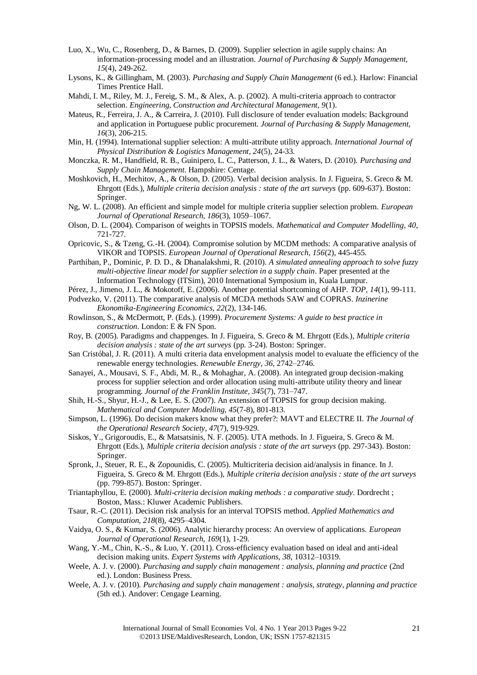- Luo, X., Wu, C., Rosenberg, D., & Barnes, D. (2009). Supplier selection in agile supply chains: An information-processing model and an illustration. *Journal of Purchasing & Supply Management, 15*(4), 249-262.
- Lysons, K., & Gillingham, M. (2003). *Purchasing and Supply Chain Management* (6 ed.). Harlow: Financial Times Prentice Hall.
- Mahdi, I. M., Riley, M. J., Fereig, S. M., & Alex, A. p. (2002). A multi-criteria approach to contractor selection. *Engineering, Construction and Architectural Management, 9*(1).
- Mateus, R., Ferreira, J. A., & Carreira, J. (2010). Full disclosure of tender evaluation models: Background and application in Portuguese public procurement. *Journal of Purchasing & Supply Management, 16*(3), 206-215.
- Min, H. (1994). International supplier selection: A multi-attribute utility approach. *International Journal of Physical Distribution & Logistics Management, 24*(5), 24-33.
- Monczka, R. M., Handfield, R. B., Guinipero, L. C., Patterson, J. L., & Waters, D. (2010). *Purchasing and Supply Chain Management*. Hampshire: Centage.
- Moshkovich, H., Mechitov, A., & Olson, D. (2005). Verbal decision analysis. In J. Figueira, S. Greco & M. Ehrgott (Eds.), *Multiple criteria decision analysis : state of the art surveys* (pp. 609-637). Boston: Springer.
- Ng, W. L. (2008). An efficient and simple model for multiple criteria supplier selection problem. *European Journal of Operational Research, 186*(3), 1059–1067.
- Olson, D. L. (2004). Comparison of weights in TOPSIS models. *Mathematical and Computer Modelling, 40*, 721-727.
- Opricovic, S., & Tzeng, G.-H. (2004). Compromise solution by MCDM methods: A comparative analysis of VIKOR and TOPSIS. *European Journal of Operational Research, 156*(2), 445-455.
- Parthiban, P., Dominic, P. D. D., & Dhanalakshmi, R. (2010). *A simulated annealing approach to solve fuzzy multi-objective linear model for supplier selection in a supply chain*. Paper presented at the Information Technology (ITSim), 2010 International Symposium in, Kuala Lumpur.
- Pérez, J., Jimeno, J. L., & Mokotoff, E. (2006). Another potential shortcoming of AHP. *TOP, 14*(1), 99-111.
- Podvezko, V. (2011). The comparative analysis of MCDA methods SAW and COPRAS. *Inzinerine Ekonomika-Engineering Economics, 22*(2), 134-146.
- Rowlinson, S., & McDermott, P. (Eds.). (1999). *Procurement Systems: A guide to best practice in construction*. London: E & FN Spon.
- Roy, B. (2005). Paradigms and chappenges. In J. Figueira, S. Greco & M. Ehrgott (Eds.), *Multiple criteria decision analysis : state of the art surveys* (pp. 3-24). Boston: Springer.
- San Cristóbal, J. R. (2011). A multi criteria data envelopment analysis model to evaluate the efficiency of the renewable energy technologies. *Renewable Energy, 36*, 2742–2746.
- Sanayei, A., Mousavi, S. F., Abdi, M. R., & Mohaghar, A. (2008). An integrated group decision-making process for supplier selection and order allocation using multi-attribute utility theory and linear programming. *Journal of the Franklin Institute, 345*(7), 731–747.
- Shih, H.-S., Shyur, H.-J., & Lee, E. S. (2007). An extension of TOPSIS for group decision making. *Mathematical and Computer Modelling, 45*(7-8), 801-813.
- Simpson, L. (1996). Do decision makers know what they prefer?: MAVT and ELECTRE II. *The Journal of the Operational Research Society, 47*(7), 919-929.
- Siskos, Y., Grigoroudis, E., & Matsatsinis, N. F. (2005). UTA methods. In J. Figueira, S. Greco & M. Ehrgott (Eds.), *Multiple criteria decision analysis : state of the art surveys* (pp. 297-343). Boston: Springer.
- Spronk, J., Steuer, R. E., & Zopounidis, C. (2005). Multicriteria decision aid/analysis in finance. In J. Figueira, S. Greco & M. Ehrgott (Eds.), *Multiple criteria decision analysis : state of the art surveys* (pp. 799-857). Boston: Springer.
- Triantaphyllou, E. (2000). *Multi-criteria decision making methods : a comparative study*. Dordrecht ; Boston, Mass.: Kluwer Academic Publishers.
- Tsaur, R.-C. (2011). Decision risk analysis for an interval TOPSIS method. *Applied Mathematics and Computation, 218*(8), 4295–4304.
- Vaidya, O. S., & Kumar, S. (2006). Analytic hierarchy process: An overview of applications. *European Journal of Operational Research, 169*(1), 1-29.
- Wang, Y.-M., Chin, K.-S., & Luo, Y. (2011). Cross-efficiency evaluation based on ideal and anti-ideal decision making units. *Expert Systems with Applications, 38*, 10312–10319.
- Weele, A. J. v. (2000). *Purchasing and supply chain management : analysis, planning and practice* (2nd ed.). London: Business Press.
- Weele, A. J. v. (2010). *Purchasing and supply chain management : analysis, strategy, planning and practice* (5th ed.). Andover: Cengage Learning.